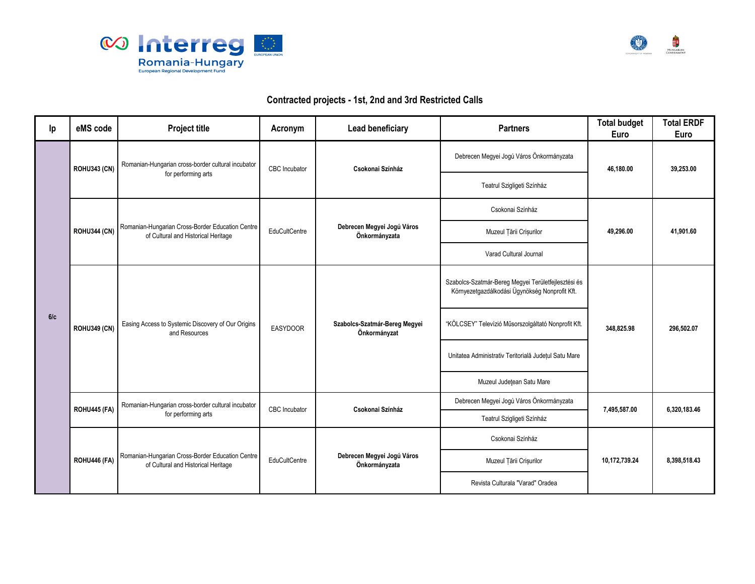



## **Contracted projects - 1st, 2nd and 3rd Restricted Calls**

| Ip  | eMS code            | <b>Project title</b>                                                                      | Acronym         | Lead beneficiary                              | <b>Partners</b>                                                                                       | <b>Total budget</b><br>Euro | <b>Total ERDF</b><br>Euro |
|-----|---------------------|-------------------------------------------------------------------------------------------|-----------------|-----------------------------------------------|-------------------------------------------------------------------------------------------------------|-----------------------------|---------------------------|
|     | <b>ROHU343 (CN)</b> | Romanian-Hungarian cross-border cultural incubator<br>for performing arts                 | CBC Incubator   | Csokonai Színház                              | Debrecen Megyei Jogú Város Önkormányzata                                                              | 46,180.00                   | 39.253.00                 |
|     |                     |                                                                                           |                 |                                               | Teatrul Szigligeti Színház                                                                            |                             |                           |
|     | <b>ROHU344 (CN)</b> | Romanian-Hungarian Cross-Border Education Centre<br>of Cultural and Historical Heritage   | EduCultCentre   | Debrecen Megyei Jogú Város<br>Önkormányzata   | Csokonai Színház                                                                                      | 49,296.00                   | 41,901.60                 |
|     |                     |                                                                                           |                 |                                               | Muzeul Țării Crișurilor                                                                               |                             |                           |
|     |                     |                                                                                           |                 |                                               | Varad Cultural Journal                                                                                |                             |                           |
| 6/c | <b>ROHU349 (CN)</b> | Easing Access to Systemic Discovery of Our Origins<br>and Resources                       | <b>EASYDOOR</b> | Szabolcs-Szatmár-Bereg Megyei<br>Önkormányzat | Szabolcs-Szatmár-Bereg Megyei Területfejlesztési és<br>Környezetgazdálkodási Ügynökség Nonprofit Kft. | 348,825.98                  | 296,502.07                |
|     |                     |                                                                                           |                 |                                               | "KÖLCSEY" Televízió Műsorszolgáltató Nonprofit Kft.                                                   |                             |                           |
|     |                     |                                                                                           |                 |                                               | Unitatea Administrativ Teritorială Județul Satu Mare                                                  |                             |                           |
|     |                     |                                                                                           |                 |                                               | Muzeul Județean Satu Mare                                                                             |                             |                           |
|     |                     | Romanian-Hungarian cross-border cultural incubator<br>ROHU445 (FA)<br>for performing arts | CBC Incubator   | Csokonai Színház                              | Debrecen Megyei Jogú Város Önkormányzata                                                              | 7,495,587.00                | 6,320,183.46              |
|     |                     |                                                                                           |                 |                                               | Teatrul Szigligeti Színház                                                                            |                             |                           |
|     | ROHU446 (FA)        | Romanian-Hungarian Cross-Border Education Centre<br>of Cultural and Historical Heritage   | EduCultCentre   | Debrecen Megyei Jogú Város<br>Önkormányzata   | Csokonai Színház                                                                                      | 10,172,739.24               | 8,398,518.43              |
|     |                     |                                                                                           |                 |                                               | Muzeul Țării Crișurilor                                                                               |                             |                           |
|     |                     |                                                                                           |                 |                                               | Revista Culturala "Varad" Oradea                                                                      |                             |                           |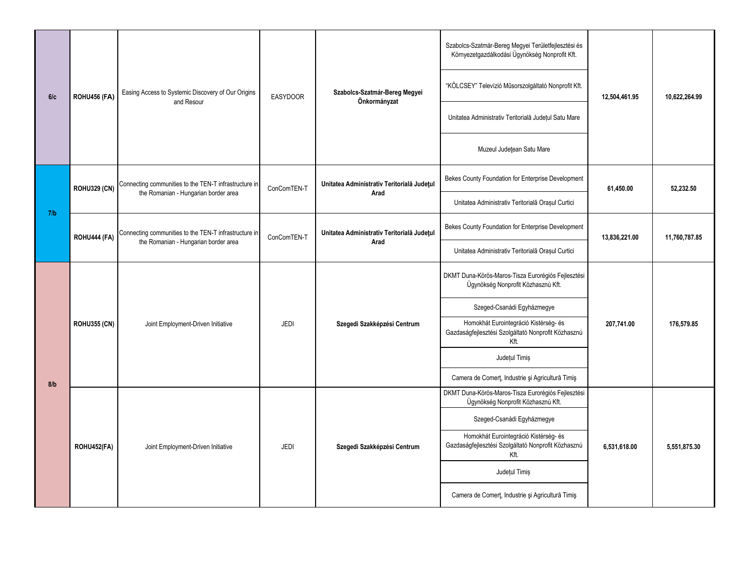| 6/c | ROHU456 (FA)        | Easing Access to Systemic Discovery of Our Origins<br>and Resour                              | <b>EASYDOOR</b> | Szabolcs-Szatmár-Bereg Megyei<br>Önkormányzat      | Szabolcs-Szatmár-Bereg Megyei Területfejlesztési és<br>Környezetgazdálkodási Ügynökség Nonprofit Kft. | 12,504,461.95 | 10,622,264.99 |
|-----|---------------------|-----------------------------------------------------------------------------------------------|-----------------|----------------------------------------------------|-------------------------------------------------------------------------------------------------------|---------------|---------------|
|     |                     |                                                                                               |                 |                                                    | "KÖLCSEY" Televízió Műsorszolgáltató Nonprofit Kft.                                                   |               |               |
|     |                     |                                                                                               |                 |                                                    | Unitatea Administrativ Teritorială Județul Satu Mare                                                  |               |               |
|     |                     |                                                                                               |                 |                                                    | Muzeul Județean Satu Mare                                                                             |               |               |
|     | <b>ROHU329 (CN)</b> | Connecting communities to the TEN-T infrastructure in<br>the Romanian - Hungarian border area | ConComTEN-T     | Unitatea Administrativ Teritorială Județul<br>Arad | Bekes County Foundation for Enterprise Development                                                    | 61,450.00     | 52,232.50     |
| 7/b |                     |                                                                                               |                 |                                                    | Unitatea Administrativ Teritorială Orașul Curtici                                                     |               |               |
|     | ROHU444 (FA)        | Connecting communities to the TEN-T infrastructure in<br>the Romanian - Hungarian border area | ConComTEN-T     | Unitatea Administrativ Teritorială Județul<br>Arad | Bekes County Foundation for Enterprise Development                                                    | 13,836,221.00 | 11,760,787.85 |
|     |                     |                                                                                               |                 |                                                    | Unitatea Administrativ Teritorială Orașul Curtici                                                     |               |               |
|     | <b>ROHU355 (CN)</b> | Joint Employment-Driven Initiative                                                            | JEDI            | Szegedi Szakképzési Centrum                        | DKMT Duna-Körös-Maros-Tisza Eurorégiós Fejlesztési<br>Ügynökség Nonprofit Közhasznú Kft.              | 207,741.00    | 176,579.85    |
|     |                     |                                                                                               |                 |                                                    | Szeged-Csanádi Egyházmegye                                                                            |               |               |
|     |                     |                                                                                               |                 |                                                    | Homokhát Eurointegráció Kistérség- és<br>Gazdaságfejlesztési Szolgáltató Nonprofit Közhasznú<br>Kft.  |               |               |
|     |                     |                                                                                               |                 |                                                    | Județul Timiș                                                                                         |               |               |
| 8/b |                     |                                                                                               |                 |                                                    | Camera de Comerț, Industrie și Agricultură Timiș                                                      |               |               |
|     | ROHU452(FA)         | Joint Employment-Driven Initiative                                                            | <b>JEDI</b>     | Szegedi Szakképzési Centrum                        | DKMT Duna-Körös-Maros-Tisza Eurorégiós Fejlesztési<br>Ügynökség Nonprofit Közhasznú Kft.              | 6,531,618.00  | 5,551,875.30  |
|     |                     |                                                                                               |                 |                                                    | Szeged-Csanádi Egyházmegye                                                                            |               |               |
|     |                     |                                                                                               |                 |                                                    | Homokhát Eurointegráció Kistérség- és<br>Gazdaságfejlesztési Szolgáltató Nonprofit Közhasznú<br>Kft.  |               |               |
|     |                     |                                                                                               |                 |                                                    | Județul Timiș                                                                                         |               |               |
|     |                     |                                                                                               |                 |                                                    | Camera de Comert, Industrie și Agricultură Timiș                                                      |               |               |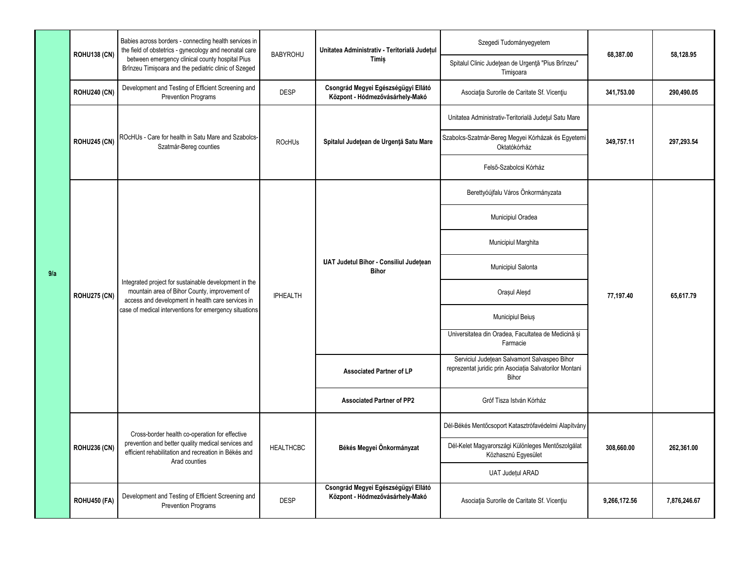|     | <b>ROHU138 (CN)</b>                 | Babies across borders - connecting health services in<br>the field of obstetrics - gynecology and neonatal care                                                                                                                                                                                        | <b>BABYROHU</b>                  | Unitatea Administrativ - Teritorială Județul                                                     | Szegedi Tudományegyetem                                                                                          | 68,387.00               | 58.128.95    |
|-----|-------------------------------------|--------------------------------------------------------------------------------------------------------------------------------------------------------------------------------------------------------------------------------------------------------------------------------------------------------|----------------------------------|--------------------------------------------------------------------------------------------------|------------------------------------------------------------------------------------------------------------------|-------------------------|--------------|
|     |                                     | between emergency clinical county hospital Pius<br>Brînzeu Timișoara and the pediatric clinic of Szeged                                                                                                                                                                                                |                                  | Timis                                                                                            | Spitalul Clinic Județean de Urgență "Pius Brînzeu"<br>Timişoara                                                  |                         |              |
|     | <b>ROHU240 (CN)</b>                 | Development and Testing of Efficient Screening and<br>Prevention Programs                                                                                                                                                                                                                              | <b>DESP</b>                      | Csongrád Megyei Egészségügyi Ellátó<br>Központ - Hódmezővásárhely-Makó                           | Asociația Surorile de Caritate Sf. Vicențiu                                                                      | 341,753.00              | 290,490.05   |
|     | <b>ROHU245 (CN)</b><br>ROHU275 (CN) | ROcHUs - Care for health in Satu Mare and Szabolcs-<br>Szatmár-Bereg counties<br>Integrated project for sustainable development in the<br>mountain area of Bihor County, improvement of<br>access and development in health care services in<br>case of medical interventions for emergency situations | <b>ROcHUs</b><br><b>IPHEALTH</b> | Spitalul Județean de Urgență Satu Mare<br>UAT Judetul Bihor - Consiliul Județean<br><b>Bihor</b> | Unitatea Administrativ-Teritorială Județul Satu Mare                                                             | 349,757.11<br>77,197.40 | 297,293.54   |
|     |                                     |                                                                                                                                                                                                                                                                                                        |                                  |                                                                                                  | Szabolcs-Szatmár-Bereg Megyei Kórházak és Egyetemi<br>Oktatókórház                                               |                         |              |
|     |                                     |                                                                                                                                                                                                                                                                                                        |                                  |                                                                                                  | Felső-Szabolcsi Kórház                                                                                           |                         |              |
|     |                                     |                                                                                                                                                                                                                                                                                                        |                                  |                                                                                                  | Berettyóújfalu Város Önkormányzata                                                                               |                         |              |
|     |                                     |                                                                                                                                                                                                                                                                                                        |                                  |                                                                                                  | Municipiul Oradea                                                                                                |                         | 65.617.79    |
|     |                                     |                                                                                                                                                                                                                                                                                                        |                                  |                                                                                                  | Municipiul Marghita                                                                                              |                         |              |
| 9/a |                                     |                                                                                                                                                                                                                                                                                                        |                                  |                                                                                                  | Municipiul Salonta                                                                                               |                         |              |
|     |                                     |                                                                                                                                                                                                                                                                                                        |                                  |                                                                                                  | Orașul Aleșd                                                                                                     |                         |              |
|     |                                     |                                                                                                                                                                                                                                                                                                        |                                  |                                                                                                  | Municipiul Beius                                                                                                 |                         |              |
|     |                                     |                                                                                                                                                                                                                                                                                                        |                                  |                                                                                                  | Universitatea din Oradea, Facultatea de Medicină si<br>Farmacie                                                  |                         |              |
|     |                                     |                                                                                                                                                                                                                                                                                                        |                                  | <b>Associated Partner of LP</b>                                                                  | Serviciul Județean Salvamont Salvaspeo Bihor<br>reprezentat juridic prin Asociația Salvatorilor Montani<br>Bihor |                         |              |
|     |                                     |                                                                                                                                                                                                                                                                                                        |                                  | <b>Associated Partner of PP2</b>                                                                 | Gróf Tisza István Kórház                                                                                         |                         |              |
|     | <b>ROHU236 (CN)</b>                 | Cross-border health co-operation for effective<br>prevention and better quality medical services and<br>efficient rehabilitation and recreation in Békés and<br>Arad counties                                                                                                                          | <b>HEALTHCBC</b>                 | Békés Megyei Önkormányzat                                                                        | Dél-Békés Mentőcsoport Katasztrófavédelmi Alapítvány                                                             | 308,660.00              |              |
|     |                                     |                                                                                                                                                                                                                                                                                                        |                                  |                                                                                                  | Dél-Kelet Magyarországi Különleges Mentőszolgálat<br>Közhasznú Egyesület                                         |                         | 262,361.00   |
|     |                                     |                                                                                                                                                                                                                                                                                                        |                                  |                                                                                                  | <b>UAT Județul ARAD</b>                                                                                          |                         |              |
|     | <b>ROHU450 (FA)</b>                 | Development and Testing of Efficient Screening and<br><b>Prevention Programs</b>                                                                                                                                                                                                                       | <b>DESP</b>                      | Csongrád Megyei Egészségügyi Ellátó<br>Központ - Hódmezővásárhely-Makó                           | Asociația Surorile de Caritate Sf. Vicențiu                                                                      | 9,266,172.56            | 7,876,246.67 |